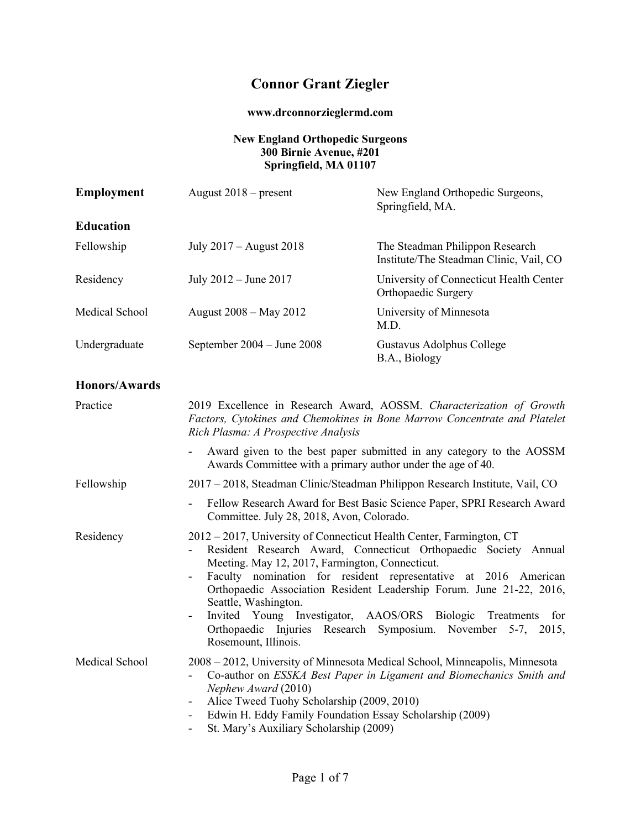# **Connor Grant Ziegler**

## **www.drconnorzieglermd.com**

### **New England Orthopedic Surgeons 300 Birnie Avenue, #201 Springfield, MA 01107**

| <b>Employment</b>    | August $2018$ – present                                                                                                                                                                                                                                        | New England Orthopedic Surgeons,<br>Springfield, MA.                                                                                                                                                                                                                                            |
|----------------------|----------------------------------------------------------------------------------------------------------------------------------------------------------------------------------------------------------------------------------------------------------------|-------------------------------------------------------------------------------------------------------------------------------------------------------------------------------------------------------------------------------------------------------------------------------------------------|
| <b>Education</b>     |                                                                                                                                                                                                                                                                |                                                                                                                                                                                                                                                                                                 |
| Fellowship           | July 2017 – August 2018                                                                                                                                                                                                                                        | The Steadman Philippon Research<br>Institute/The Steadman Clinic, Vail, CO                                                                                                                                                                                                                      |
| Residency            | July $2012 -$ June $2017$                                                                                                                                                                                                                                      | University of Connecticut Health Center<br>Orthopaedic Surgery                                                                                                                                                                                                                                  |
| Medical School       | August 2008 – May 2012                                                                                                                                                                                                                                         | University of Minnesota<br>M.D.                                                                                                                                                                                                                                                                 |
| Undergraduate        | September $2004 -$ June $2008$                                                                                                                                                                                                                                 | Gustavus Adolphus College<br>B.A., Biology                                                                                                                                                                                                                                                      |
| <b>Honors/Awards</b> |                                                                                                                                                                                                                                                                |                                                                                                                                                                                                                                                                                                 |
| Practice             | Rich Plasma: A Prospective Analysis                                                                                                                                                                                                                            | 2019 Excellence in Research Award, AOSSM. Characterization of Growth<br>Factors, Cytokines and Chemokines in Bone Marrow Concentrate and Platelet                                                                                                                                               |
|                      | $\sim$<br>Awards Committee with a primary author under the age of 40.                                                                                                                                                                                          | Award given to the best paper submitted in any category to the AOSSM                                                                                                                                                                                                                            |
| Fellowship           |                                                                                                                                                                                                                                                                | 2017 – 2018, Steadman Clinic/Steadman Philippon Research Institute, Vail, CO                                                                                                                                                                                                                    |
|                      | Committee. July 28, 2018, Avon, Colorado.                                                                                                                                                                                                                      | Fellow Research Award for Best Basic Science Paper, SPRI Research Award                                                                                                                                                                                                                         |
| Residency            | 2012 – 2017, University of Connecticut Health Center, Farmington, CT<br>Meeting. May 12, 2017, Farmington, Connecticut.<br>$\sim$<br>Seattle, Washington.<br>Invited Young Investigator, AAOS/ORS Biologic<br>$\overline{\phantom{a}}$<br>Rosemount, Illinois. | Resident Research Award, Connecticut Orthopaedic Society Annual<br>Faculty nomination for resident representative at 2016 American<br>Orthopaedic Association Resident Leadership Forum. June 21-22, 2016,<br>Treatments<br>for<br>Orthopaedic Injuries Research Symposium. November 5-7, 2015, |
| Medical School       | Nephew Award (2010)<br>Alice Tweed Tuohy Scholarship (2009, 2010)<br>Edwin H. Eddy Family Foundation Essay Scholarship (2009)<br>$\overline{\phantom{a}}$<br>St. Mary's Auxiliary Scholarship (2009)                                                           | 2008 - 2012, University of Minnesota Medical School, Minneapolis, Minnesota<br>Co-author on ESSKA Best Paper in Ligament and Biomechanics Smith and                                                                                                                                             |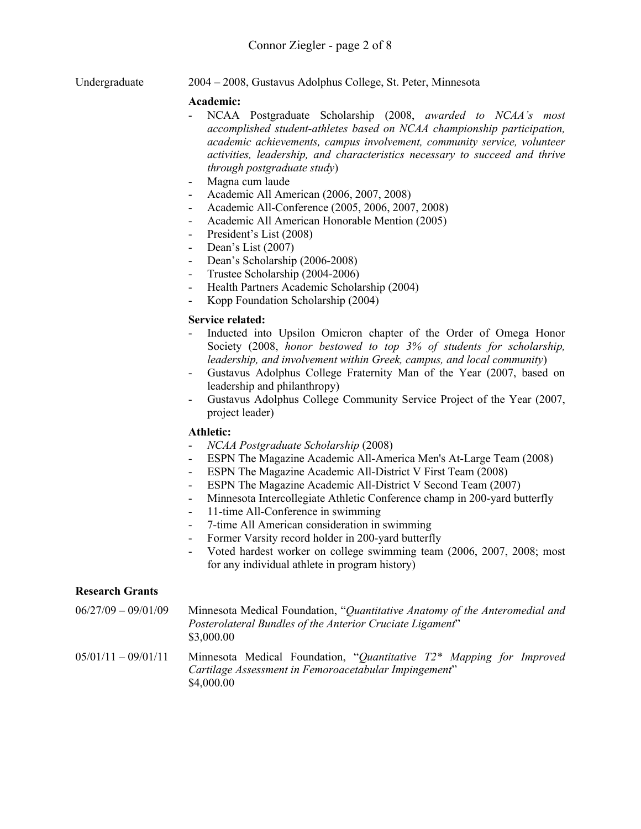Undergraduate 2004 – 2008, Gustavus Adolphus College, St. Peter, Minnesota

#### **Academic:**

- NCAA Postgraduate Scholarship (2008, *awarded to NCAA's most accomplished student-athletes based on NCAA championship participation, academic achievements, campus involvement, community service, volunteer activities, leadership, and characteristics necessary to succeed and thrive through postgraduate study*)
- Magna cum laude
- Academic All American (2006, 2007, 2008)
- Academic All-Conference (2005, 2006, 2007, 2008)
- Academic All American Honorable Mention (2005)
- President's List (2008)
- Dean's List (2007)
- Dean's Scholarship (2006-2008)
- Trustee Scholarship (2004-2006)
- Health Partners Academic Scholarship (2004)
- Kopp Foundation Scholarship (2004)

#### **Service related:**

- Inducted into Upsilon Omicron chapter of the Order of Omega Honor Society (2008, *honor bestowed to top 3% of students for scholarship, leadership, and involvement within Greek, campus, and local community*)
- Gustavus Adolphus College Fraternity Man of the Year (2007, based on leadership and philanthropy)
- Gustavus Adolphus College Community Service Project of the Year (2007, project leader)

#### **Athletic:**

- *NCAA Postgraduate Scholarship* (2008)
- ESPN The Magazine Academic All-America Men's At-Large Team (2008)
- ESPN The Magazine Academic All-District V First Team (2008)
- ESPN The Magazine Academic All-District V Second Team (2007)
- Minnesota Intercollegiate Athletic Conference champ in 200-yard butterfly
- 11-time All-Conference in swimming
- 7-time All American consideration in swimming
- Former Varsity record holder in 200-yard butterfly
- Voted hardest worker on college swimming team (2006, 2007, 2008; most for any individual athlete in program history)

#### **Research Grants**

- 06/27/09 09/01/09 Minnesota Medical Foundation, "*Quantitative Anatomy of the Anteromedial and Posterolateral Bundles of the Anterior Cruciate Ligament*" \$3,000.00
- 05/01/11 09/01/11 Minnesota Medical Foundation, "*Quantitative T2\* Mapping for Improved Cartilage Assessment in Femoroacetabular Impingement*" \$4,000.00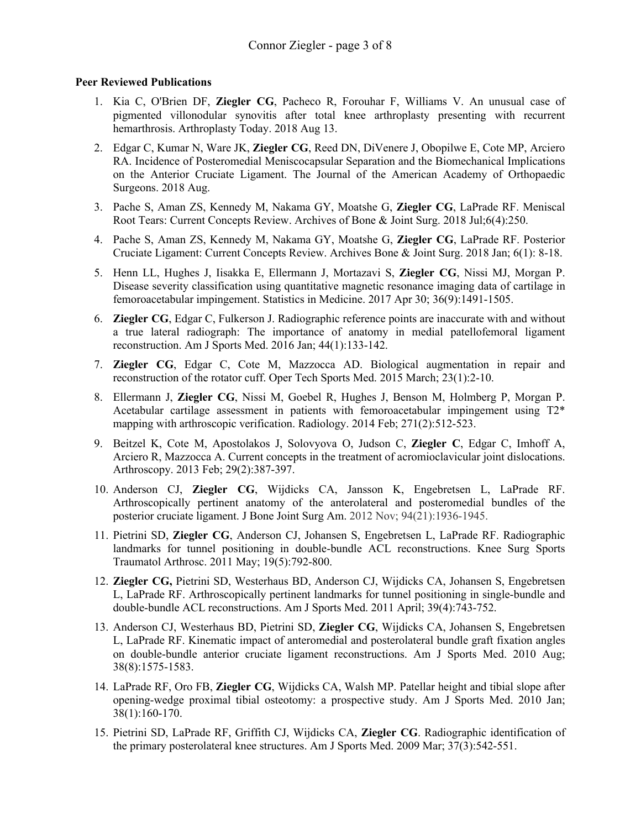#### **Peer Reviewed Publications**

- 1. Kia C, O'Brien DF, **Ziegler CG**, Pacheco R, Forouhar F, Williams V. An unusual case of pigmented villonodular synovitis after total knee arthroplasty presenting with recurrent hemarthrosis. Arthroplasty Today. 2018 Aug 13.
- 2. Edgar C, Kumar N, Ware JK, **Ziegler CG**, Reed DN, DiVenere J, Obopilwe E, Cote MP, Arciero RA. Incidence of Posteromedial Meniscocapsular Separation and the Biomechanical Implications on the Anterior Cruciate Ligament. The Journal of the American Academy of Orthopaedic Surgeons. 2018 Aug.
- 3. Pache S, Aman ZS, Kennedy M, Nakama GY, Moatshe G, **Ziegler CG**, LaPrade RF. Meniscal Root Tears: Current Concepts Review. Archives of Bone & Joint Surg. 2018 Jul;6(4):250.
- 4. Pache S, Aman ZS, Kennedy M, Nakama GY, Moatshe G, **Ziegler CG**, LaPrade RF. Posterior Cruciate Ligament: Current Concepts Review. Archives Bone & Joint Surg. 2018 Jan; 6(1): 8-18.
- 5. Henn LL, Hughes J, Iisakka E, Ellermann J, Mortazavi S, **Ziegler CG**, Nissi MJ, Morgan P. Disease severity classification using quantitative magnetic resonance imaging data of cartilage in femoroacetabular impingement. Statistics in Medicine. 2017 Apr 30; 36(9):1491-1505.
- 6. **Ziegler CG**, Edgar C, Fulkerson J. Radiographic reference points are inaccurate with and without a true lateral radiograph: The importance of anatomy in medial patellofemoral ligament reconstruction. Am J Sports Med. 2016 Jan; 44(1):133-142.
- 7. **Ziegler CG**, Edgar C, Cote M, Mazzocca AD. Biological augmentation in repair and reconstruction of the rotator cuff. Oper Tech Sports Med. 2015 March; 23(1):2-10.
- 8. Ellermann J, **Ziegler CG**, Nissi M, Goebel R, Hughes J, Benson M, Holmberg P, Morgan P. Acetabular cartilage assessment in patients with femoroacetabular impingement using T2\* mapping with arthroscopic verification. Radiology. 2014 Feb; 271(2):512-523.
- 9. Beitzel K, Cote M, Apostolakos J, Solovyova O, Judson C, **Ziegler C**, Edgar C, Imhoff A, Arciero R, Mazzocca A. Current concepts in the treatment of acromioclavicular joint dislocations. Arthroscopy. 2013 Feb; 29(2):387-397.
- 10. Anderson CJ, **Ziegler CG**, Wijdicks CA, Jansson K, Engebretsen L, LaPrade RF. Arthroscopically pertinent anatomy of the anterolateral and posteromedial bundles of the posterior cruciate ligament. J Bone Joint Surg Am. 2012 Nov; 94(21):1936-1945.
- 11. Pietrini SD, **Ziegler CG**, Anderson CJ, Johansen S, Engebretsen L, LaPrade RF. Radiographic landmarks for tunnel positioning in double-bundle ACL reconstructions. Knee Surg Sports Traumatol Arthrosc. 2011 May; 19(5):792-800.
- 12. **Ziegler CG,** Pietrini SD, Westerhaus BD, Anderson CJ, Wijdicks CA, Johansen S, Engebretsen L, LaPrade RF. Arthroscopically pertinent landmarks for tunnel positioning in single-bundle and double-bundle ACL reconstructions. Am J Sports Med. 2011 April; 39(4):743-752.
- 13. Anderson CJ, Westerhaus BD, Pietrini SD, **Ziegler CG**, Wijdicks CA, Johansen S, Engebretsen L, LaPrade RF. Kinematic impact of anteromedial and posterolateral bundle graft fixation angles on double-bundle anterior cruciate ligament reconstructions. Am J Sports Med. 2010 Aug; 38(8):1575-1583.
- 14. LaPrade RF, Oro FB, **Ziegler CG**, Wijdicks CA, Walsh MP. Patellar height and tibial slope after opening-wedge proximal tibial osteotomy: a prospective study. Am J Sports Med. 2010 Jan; 38(1):160-170.
- 15. Pietrini SD, LaPrade RF, Griffith CJ, Wijdicks CA, **Ziegler CG**. Radiographic identification of the primary posterolateral knee structures. Am J Sports Med. 2009 Mar; 37(3):542-551.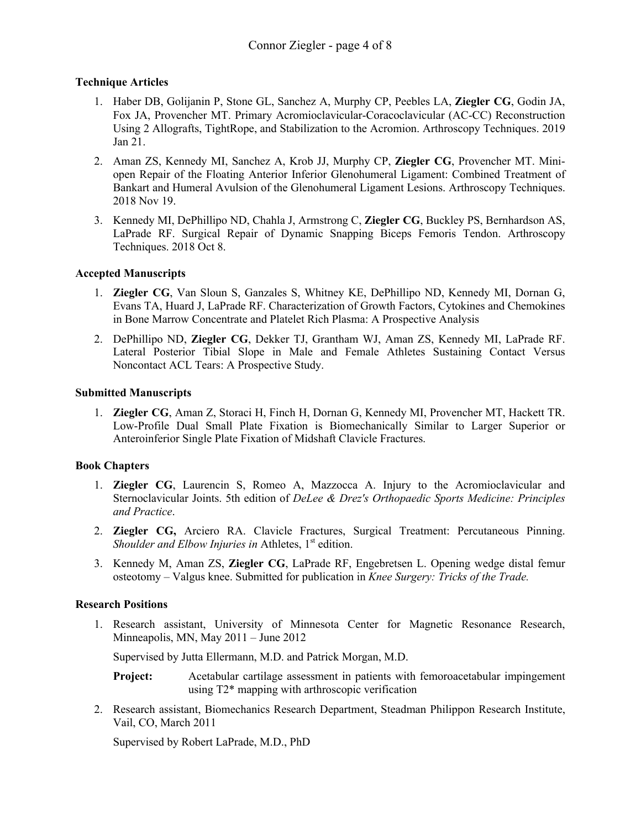#### **Technique Articles**

- 1. Haber DB, Golijanin P, Stone GL, Sanchez A, Murphy CP, Peebles LA, **Ziegler CG**, Godin JA, Fox JA, Provencher MT. Primary Acromioclavicular-Coracoclavicular (AC-CC) Reconstruction Using 2 Allografts, TightRope, and Stabilization to the Acromion. Arthroscopy Techniques. 2019 Jan 21.
- 2. Aman ZS, Kennedy MI, Sanchez A, Krob JJ, Murphy CP, **Ziegler CG**, Provencher MT. Miniopen Repair of the Floating Anterior Inferior Glenohumeral Ligament: Combined Treatment of Bankart and Humeral Avulsion of the Glenohumeral Ligament Lesions. Arthroscopy Techniques. 2018 Nov 19.
- 3. Kennedy MI, DePhillipo ND, Chahla J, Armstrong C, **Ziegler CG**, Buckley PS, Bernhardson AS, LaPrade RF. Surgical Repair of Dynamic Snapping Biceps Femoris Tendon. Arthroscopy Techniques. 2018 Oct 8.

#### **Accepted Manuscripts**

- 1. **Ziegler CG**, Van Sloun S, Ganzales S, Whitney KE, DePhillipo ND, Kennedy MI, Dornan G, Evans TA, Huard J, LaPrade RF. Characterization of Growth Factors, Cytokines and Chemokines in Bone Marrow Concentrate and Platelet Rich Plasma: A Prospective Analysis
- 2. DePhillipo ND, **Ziegler CG**, Dekker TJ, Grantham WJ, Aman ZS, Kennedy MI, LaPrade RF. Lateral Posterior Tibial Slope in Male and Female Athletes Sustaining Contact Versus Noncontact ACL Tears: A Prospective Study.

#### **Submitted Manuscripts**

1. **Ziegler CG**, Aman Z, Storaci H, Finch H, Dornan G, Kennedy MI, Provencher MT, Hackett TR. Low-Profile Dual Small Plate Fixation is Biomechanically Similar to Larger Superior or Anteroinferior Single Plate Fixation of Midshaft Clavicle Fractures.

## **Book Chapters**

- 1. **Ziegler CG**, Laurencin S, Romeo A, Mazzocca A. Injury to the Acromioclavicular and Sternoclavicular Joints. 5th edition of *DeLee & Drez's Orthopaedic Sports Medicine: Principles and Practice*.
- 2. **Ziegler CG,** Arciero RA. Clavicle Fractures, Surgical Treatment: Percutaneous Pinning. *Shoulder and Elbow Injuries in Athletes,* 1<sup>st</sup> edition.
- 3. Kennedy M, Aman ZS, **Ziegler CG**, LaPrade RF, Engebretsen L. Opening wedge distal femur osteotomy – Valgus knee. Submitted for publication in *Knee Surgery: Tricks of the Trade.*

## **Research Positions**

1. Research assistant, University of Minnesota Center for Magnetic Resonance Research, Minneapolis, MN, May 2011 – June 2012

Supervised by Jutta Ellermann, M.D. and Patrick Morgan, M.D.

**Project:** Acetabular cartilage assessment in patients with femoroacetabular impingement using T2\* mapping with arthroscopic verification

2. Research assistant, Biomechanics Research Department, Steadman Philippon Research Institute, Vail, CO, March 2011

Supervised by Robert LaPrade, M.D., PhD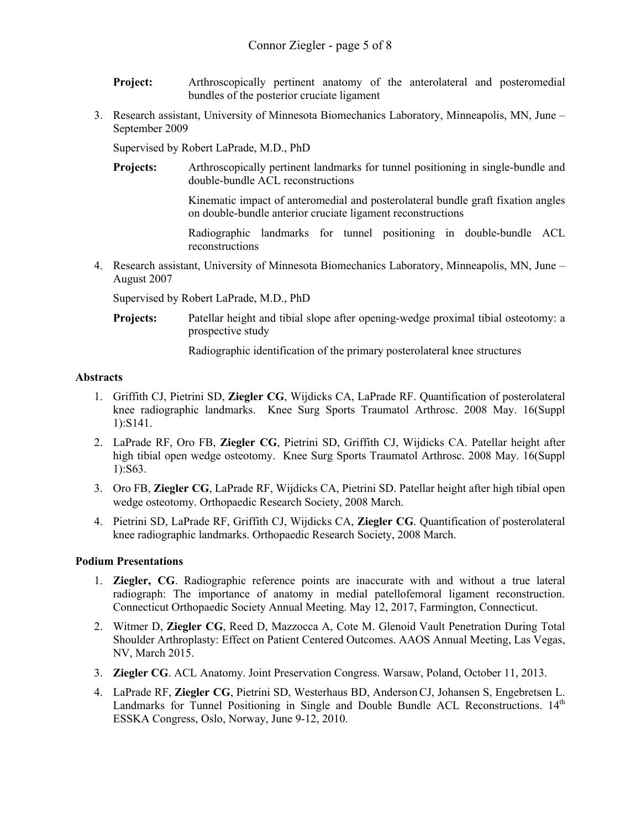- **Project:** Arthroscopically pertinent anatomy of the anterolateral and posteromedial bundles of the posterior cruciate ligament
- 3. Research assistant, University of Minnesota Biomechanics Laboratory, Minneapolis, MN, June September 2009

Supervised by Robert LaPrade, M.D., PhD

**Projects:** Arthroscopically pertinent landmarks for tunnel positioning in single-bundle and double-bundle ACL reconstructions

> Kinematic impact of anteromedial and posterolateral bundle graft fixation angles on double-bundle anterior cruciate ligament reconstructions

> Radiographic landmarks for tunnel positioning in double-bundle ACL reconstructions

4. Research assistant, University of Minnesota Biomechanics Laboratory, Minneapolis, MN, June – August 2007

Supervised by Robert LaPrade, M.D., PhD

**Projects:** Patellar height and tibial slope after opening-wedge proximal tibial osteotomy: a prospective study

Radiographic identification of the primary posterolateral knee structures

#### **Abstracts**

- 1. Griffith CJ, Pietrini SD, **Ziegler CG**, Wijdicks CA, LaPrade RF. Quantification of posterolateral knee radiographic landmarks. Knee Surg Sports Traumatol Arthrosc. 2008 May. 16(Suppl 1):S141.
- 2. LaPrade RF, Oro FB, **Ziegler CG**, Pietrini SD, Griffith CJ, Wijdicks CA. Patellar height after high tibial open wedge osteotomy. Knee Surg Sports Traumatol Arthrosc. 2008 May. 16(Suppl 1):S63.
- 3. Oro FB, **Ziegler CG**, LaPrade RF, Wijdicks CA, Pietrini SD. Patellar height after high tibial open wedge osteotomy. Orthopaedic Research Society, 2008 March.
- 4. Pietrini SD, LaPrade RF, Griffith CJ, Wijdicks CA, **Ziegler CG**. Quantification of posterolateral knee radiographic landmarks. Orthopaedic Research Society, 2008 March.

#### **Podium Presentations**

- 1. **Ziegler, CG**. Radiographic reference points are inaccurate with and without a true lateral radiograph: The importance of anatomy in medial patellofemoral ligament reconstruction. Connecticut Orthopaedic Society Annual Meeting. May 12, 2017, Farmington, Connecticut.
- 2. Witmer D, **Ziegler CG**, Reed D, Mazzocca A, Cote M. Glenoid Vault Penetration During Total Shoulder Arthroplasty: Effect on Patient Centered Outcomes. AAOS Annual Meeting, Las Vegas, NV, March 2015.
- 3. **Ziegler CG**. ACL Anatomy. Joint Preservation Congress. Warsaw, Poland, October 11, 2013.
- 4. LaPrade RF, **Ziegler CG**, Pietrini SD, Westerhaus BD, AndersonCJ, Johansen S, Engebretsen L. Landmarks for Tunnel Positioning in Single and Double Bundle ACL Reconstructions.  $14<sup>th</sup>$ ESSKA Congress, Oslo, Norway, June 9-12, 2010.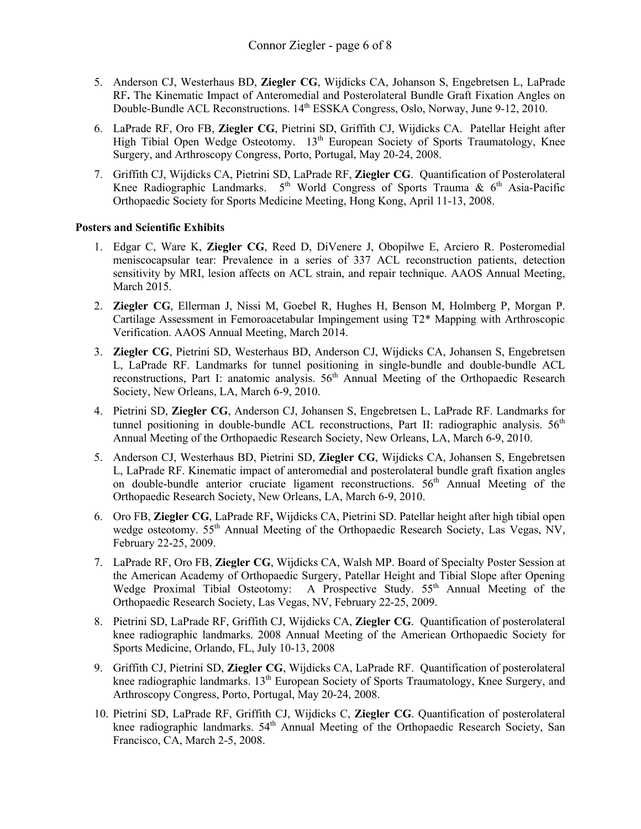- 5. Anderson CJ, Westerhaus BD, **Ziegler CG**, Wijdicks CA, Johanson S, Engebretsen L, LaPrade RF**.** The Kinematic Impact of Anteromedial and Posterolateral Bundle Graft Fixation Angles on Double-Bundle ACL Reconstructions. 14th ESSKA Congress, Oslo, Norway, June 9-12, 2010.
- 6. LaPrade RF, Oro FB, **Ziegler CG**, Pietrini SD, Griffith CJ, Wijdicks CA. Patellar Height after High Tibial Open Wedge Osteotomy. 13<sup>th</sup> European Society of Sports Traumatology, Knee Surgery, and Arthroscopy Congress, Porto, Portugal, May 20-24, 2008.
- 7. Griffith CJ, Wijdicks CA, Pietrini SD, LaPrade RF, **Ziegler CG**. Quantification of Posterolateral Knee Radiographic Landmarks.  $5<sup>th</sup>$  World Congress of Sports Trauma &  $6<sup>th</sup>$  Asia-Pacific Orthopaedic Society for Sports Medicine Meeting, Hong Kong, April 11-13, 2008.

#### **Posters and Scientific Exhibits**

- 1. Edgar C, Ware K, **Ziegler CG**, Reed D, DiVenere J, Obopilwe E, Arciero R. Posteromedial meniscocapsular tear: Prevalence in a series of 337 ACL reconstruction patients, detection sensitivity by MRI, lesion affects on ACL strain, and repair technique. AAOS Annual Meeting, March 2015.
- 2. **Ziegler CG**, Ellerman J, Nissi M, Goebel R, Hughes H, Benson M, Holmberg P, Morgan P. Cartilage Assessment in Femoroacetabular Impingement using T2\* Mapping with Arthroscopic Verification. AAOS Annual Meeting, March 2014.
- 3. **Ziegler CG**, Pietrini SD, Westerhaus BD, Anderson CJ, Wijdicks CA, Johansen S, Engebretsen L, LaPrade RF. Landmarks for tunnel positioning in single-bundle and double-bundle ACL reconstructions, Part I: anatomic analysis.  $56<sup>th</sup>$  Annual Meeting of the Orthopaedic Research Society, New Orleans, LA, March 6-9, 2010.
- 4. Pietrini SD, **Ziegler CG**, Anderson CJ, Johansen S, Engebretsen L, LaPrade RF. Landmarks for tunnel positioning in double-bundle ACL reconstructions, Part II: radiographic analysis.  $56<sup>th</sup>$ Annual Meeting of the Orthopaedic Research Society, New Orleans, LA, March 6-9, 2010.
- 5. Anderson CJ, Westerhaus BD, Pietrini SD, **Ziegler CG**, Wijdicks CA, Johansen S, Engebretsen L, LaPrade RF. Kinematic impact of anteromedial and posterolateral bundle graft fixation angles on double-bundle anterior cruciate ligament reconstructions.  $56<sup>th</sup>$  Annual Meeting of the Orthopaedic Research Society, New Orleans, LA, March 6-9, 2010.
- 6. Oro FB, **Ziegler CG**, LaPrade RF**,** Wijdicks CA, Pietrini SD. Patellar height after high tibial open wedge osteotomy. 55<sup>th</sup> Annual Meeting of the Orthopaedic Research Society, Las Vegas, NV, February 22-25, 2009.
- 7. LaPrade RF, Oro FB, **Ziegler CG**, Wijdicks CA, Walsh MP. Board of Specialty Poster Session at the American Academy of Orthopaedic Surgery, Patellar Height and Tibial Slope after Opening Wedge Proximal Tibial Osteotomy: A Prospective Study. 55<sup>th</sup> Annual Meeting of the Orthopaedic Research Society, Las Vegas, NV, February 22-25, 2009.
- 8. Pietrini SD, LaPrade RF, Griffith CJ, Wijdicks CA, **Ziegler CG**. Quantification of posterolateral knee radiographic landmarks. 2008 Annual Meeting of the American Orthopaedic Society for Sports Medicine, Orlando, FL, July 10-13, 2008
- 9. Griffith CJ, Pietrini SD, **Ziegler CG**, Wijdicks CA, LaPrade RF. Quantification of posterolateral knee radiographic landmarks.  $13<sup>th</sup>$  European Society of Sports Traumatology, Knee Surgery, and Arthroscopy Congress, Porto, Portugal, May 20-24, 2008.
- 10. Pietrini SD, LaPrade RF, Griffith CJ, Wijdicks C, **Ziegler CG**. Quantification of posterolateral knee radiographic landmarks. 54<sup>th</sup> Annual Meeting of the Orthopaedic Research Society, San Francisco, CA, March 2-5, 2008.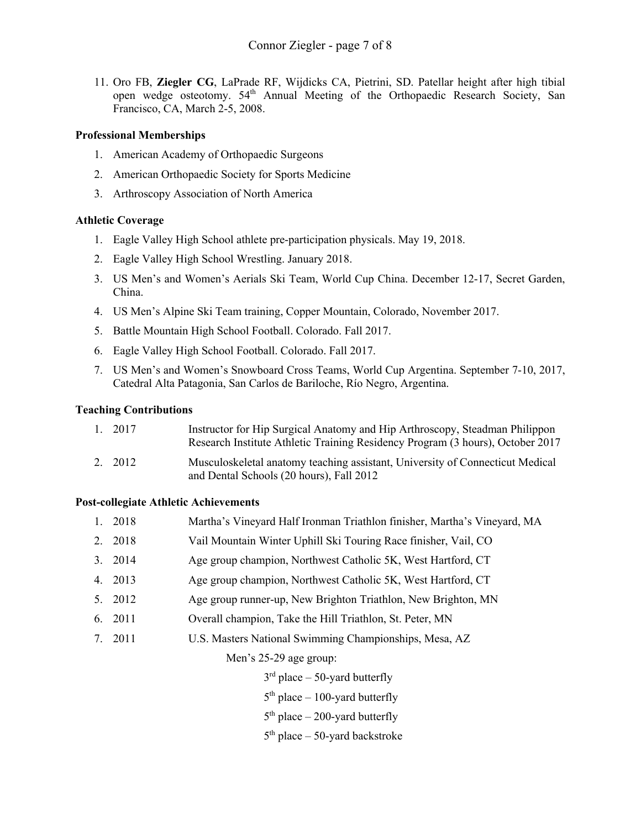11. Oro FB, **Ziegler CG**, LaPrade RF, Wijdicks CA, Pietrini, SD. Patellar height after high tibial open wedge osteotomy. 54<sup>th</sup> Annual Meeting of the Orthopaedic Research Society, San Francisco, CA, March 2-5, 2008.

#### **Professional Memberships**

- 1. American Academy of Orthopaedic Surgeons
- 2. American Orthopaedic Society for Sports Medicine
- 3. Arthroscopy Association of North America

#### **Athletic Coverage**

- 1. Eagle Valley High School athlete pre-participation physicals. May 19, 2018.
- 2. Eagle Valley High School Wrestling. January 2018.
- 3. US Men's and Women's Aerials Ski Team, World Cup China. December 12-17, Secret Garden, China.
- 4. US Men's Alpine Ski Team training, Copper Mountain, Colorado, November 2017.
- 5. Battle Mountain High School Football. Colorado. Fall 2017.
- 6. Eagle Valley High School Football. Colorado. Fall 2017.
- 7. US Men's and Women's Snowboard Cross Teams, World Cup Argentina. September 7-10, 2017, Catedral Alta Patagonia, San Carlos de Bariloche, Río Negro, Argentina.

#### **Teaching Contributions**

| 1. 2017 | Instructor for Hip Surgical Anatomy and Hip Arthroscopy, Steadman Philippon<br>Research Institute Athletic Training Residency Program (3 hours), October 2017 |
|---------|---------------------------------------------------------------------------------------------------------------------------------------------------------------|
| 2. 2012 | Musculoskeletal anatomy teaching assistant, University of Connecticut Medical<br>and Dental Schools (20 hours), Fall 2012                                     |

#### **Post-collegiate Athletic Achievements**

| 1. 2018 | Martha's Vineyard Half Ironman Triathlon finisher, Martha's Vineyard, MA |
|---------|--------------------------------------------------------------------------|
| 2. 2018 | Vail Mountain Winter Uphill Ski Touring Race finisher, Vail, CO          |
| 3. 2014 | Age group champion, Northwest Catholic 5K, West Hartford, CT             |
| 4. 2013 | Age group champion, Northwest Catholic 5K, West Hartford, CT             |
| 5. 2012 | Age group runner-up, New Brighton Triathlon, New Brighton, MN            |
| 6. 2011 | Overall champion, Take the Hill Triathlon, St. Peter, MN                 |
| 7. 2011 | U.S. Masters National Swimming Championships, Mesa, AZ                   |
|         | Men's 25-29 age group:                                                   |

 $3<sup>rd</sup>$  place – 50-yard butterfly

 $5<sup>th</sup>$  place – 100-yard butterfly

 $5<sup>th</sup>$  place – 200-yard butterfly

 $5<sup>th</sup>$  place – 50-yard backstroke